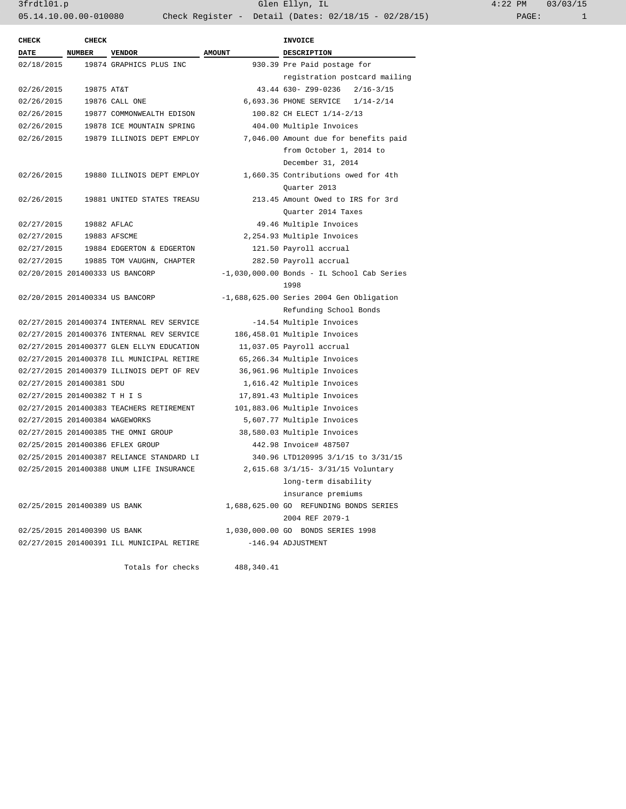3frdtl01.p Glen Ellyn, IL 4:22 PM 03/03/15 05.14.10.00.00-010080 Check Register - Detail (Dates: 02/18/15 - 02/28/15)

| <b>CHECK</b>                   | <b>CHECK</b>  |                                           |               | <b>INVOICE</b>                               |  |  |
|--------------------------------|---------------|-------------------------------------------|---------------|----------------------------------------------|--|--|
| <b>DATE</b>                    | <b>NUMBER</b> | <b>VENDOR</b>                             | <b>AMOUNT</b> | <b>DESCRIPTION</b>                           |  |  |
| 02/18/2015                     |               | 19874 GRAPHICS PLUS INC                   |               | 930.39 Pre Paid postage for                  |  |  |
|                                |               |                                           |               | registration postcard mailing                |  |  |
| 02/26/2015                     | 19875 AT&T    |                                           |               | 43.44 630- Z99-0236<br>$2/16 - 3/15$         |  |  |
| 02/26/2015                     |               | 19876 CALL ONE                            |               | 6,693.36 PHONE SERVICE 1/14-2/14             |  |  |
| 02/26/2015                     |               | 19877 COMMONWEALTH EDISON                 |               | 100.82 CH ELECT 1/14-2/13                    |  |  |
| 02/26/2015                     |               | 19878 ICE MOUNTAIN SPRING                 |               | 404.00 Multiple Invoices                     |  |  |
| 02/26/2015                     |               | 19879 ILLINOIS DEPT EMPLOY                |               | 7,046.00 Amount due for benefits paid        |  |  |
|                                |               |                                           |               | from October 1, 2014 to                      |  |  |
|                                |               |                                           |               | December 31, 2014                            |  |  |
| 02/26/2015                     |               | 19880 ILLINOIS DEPT EMPLOY                |               | 1,660.35 Contributions owed for 4th          |  |  |
|                                |               |                                           |               | Quarter 2013                                 |  |  |
| 02/26/2015                     |               | 19881 UNITED STATES TREASU                |               | 213.45 Amount Owed to IRS for 3rd            |  |  |
|                                |               |                                           |               | Ouarter 2014 Taxes                           |  |  |
| 02/27/2015                     |               | 19882 AFLAC                               |               | 49.46 Multiple Invoices                      |  |  |
| 02/27/2015                     |               | 19883 AFSCME                              |               | 2,254.93 Multiple Invoices                   |  |  |
| 02/27/2015                     |               | 19884 EDGERTON & EDGERTON                 |               | 121.50 Payroll accrual                       |  |  |
| 02/27/2015                     |               | 19885 TOM VAUGHN, CHAPTER                 |               | 282.50 Payroll accrual                       |  |  |
|                                |               | 02/20/2015 201400333 US BANCORP           |               | $-1,030,000.00$ Bonds - IL School Cab Series |  |  |
|                                |               |                                           |               | 1998                                         |  |  |
|                                |               | 02/20/2015 201400334 US BANCORP           |               | $-1,688,625.00$ Series 2004 Gen Obligation   |  |  |
|                                |               |                                           |               | Refunding School Bonds                       |  |  |
|                                |               | 02/27/2015 201400374 INTERNAL REV SERVICE |               | -14.54 Multiple Invoices                     |  |  |
|                                |               | 02/27/2015 201400376 INTERNAL REV SERVICE |               | 186,458.01 Multiple Invoices                 |  |  |
|                                |               | 02/27/2015 201400377 GLEN ELLYN EDUCATION |               | 11,037.05 Payroll accrual                    |  |  |
|                                |               | 02/27/2015 201400378 ILL MUNICIPAL RETIRE |               | 65,266.34 Multiple Invoices                  |  |  |
|                                |               | 02/27/2015 201400379 ILLINOIS DEPT OF REV |               | 36,961.96 Multiple Invoices                  |  |  |
| 02/27/2015 201400381 SDU       |               |                                           |               | 1,616.42 Multiple Invoices                   |  |  |
| 02/27/2015 201400382 T H I S   |               |                                           |               | 17,891.43 Multiple Invoices                  |  |  |
|                                |               | 02/27/2015 201400383 TEACHERS RETIREMENT  |               | 101,883.06 Multiple Invoices                 |  |  |
| 02/27/2015 201400384 WAGEWORKS |               |                                           |               | 5,607.77 Multiple Invoices                   |  |  |
|                                |               | 02/27/2015 201400385 THE OMNI GROUP       |               | 38,580.03 Multiple Invoices                  |  |  |
|                                |               | 02/25/2015 201400386 EFLEX GROUP          |               | 442.98 Invoice# 487507                       |  |  |
|                                |               | 02/25/2015 201400387 RELIANCE STANDARD LI |               | 340.96 LTD120995 3/1/15 to 3/31/15           |  |  |
|                                |               | 02/25/2015 201400388 UNUM LIFE INSURANCE  |               | 2,615.68 3/1/15- 3/31/15 Voluntary           |  |  |
|                                |               |                                           |               | long-term disability                         |  |  |
|                                |               |                                           |               | insurance premiums                           |  |  |
| 02/25/2015 201400389 US BANK   |               |                                           |               | 1,688,625.00 GO REFUNDING BONDS SERIES       |  |  |
|                                |               |                                           |               | 2004 REF 2079-1                              |  |  |
| 02/25/2015 201400390 US BANK   |               |                                           |               | 1,030,000.00 GO BONDS SERIES 1998            |  |  |
|                                |               | 02/27/2015 201400391 ILL MUNICIPAL RETIRE |               | -146.94 ADJUSTMENT                           |  |  |
|                                |               |                                           |               |                                              |  |  |
|                                |               | Totals for checks                         | 488,340.41    |                                              |  |  |